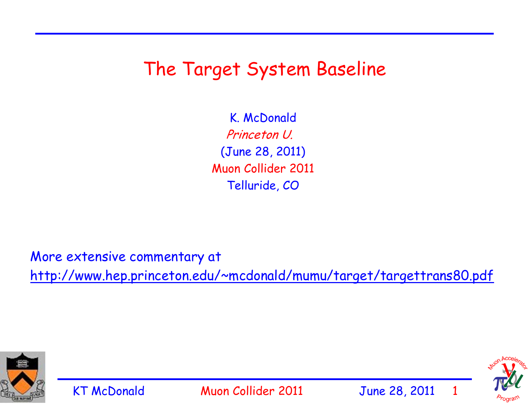#### The Target System Baseline

K. McDonald Princeton U. (June 28, 2011) Muon Collider 2011 Telluride, CO

More extensive commentary at http://www.hep.princeton.edu/~mcdonald/mumu/target/targettrans80.pdf



KT McDonald Muon Collider 2011 June 28, 2011

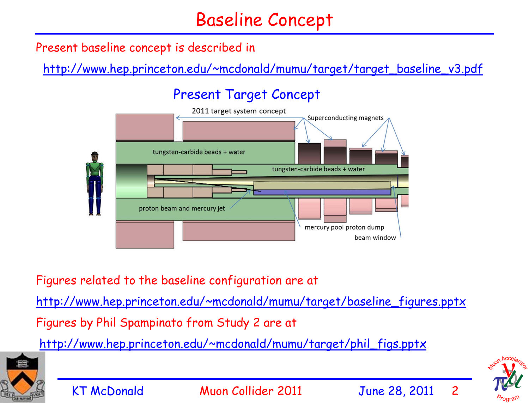#### Baseline Concept

Present baseline concept is described in

http://www.hep.princeton.edu/~mcdonald/mumu/target/target\_baseline\_v3.pdf

#### Present Target Concept



Figures related to the baseline configuration are at

http://www.hep.princeton.edu/~mcdonald/mumu/target/baseline\_figures.pptx

Figures by Phil Spampinato from Study 2 are at

http://www.hep.princeton.edu/~mcdonald/mumu/target/phil\_figs.pptx



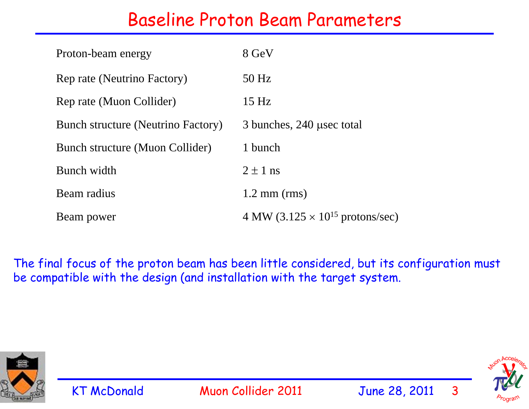#### Baseline Proton Beam Parameters

| Proton-beam energy                        | 8 GeV                                              |
|-------------------------------------------|----------------------------------------------------|
| Rep rate (Neutrino Factory)               | $50$ Hz                                            |
| Rep rate (Muon Collider)                  | 15 Hz                                              |
| <b>Bunch structure (Neutrino Factory)</b> | 3 bunches, 240 usec total                          |
| Bunch structure (Muon Collider)           | 1 bunch                                            |
| Bunch width                               | $2 \pm 1$ ns                                       |
| Beam radius                               | $1.2$ mm (rms)                                     |
| Beam power                                | 4 MW (3.125 $\times$ 10 <sup>15</sup> protons/sec) |

The final focus of the proton beam has been little considered, but its configuration must be compatible with the design (and installation with the target system.



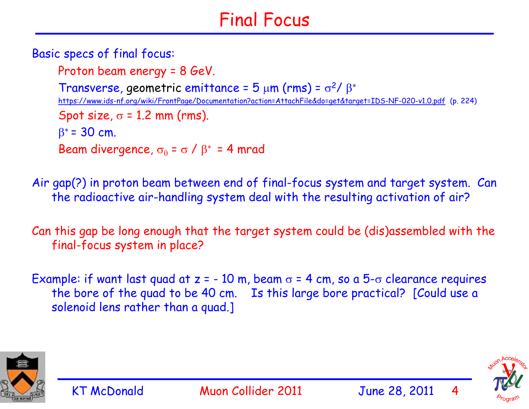# Final Focus

Basic specs of final focus:

Proton beam energy = 8 GeV. Transverse, geometric emittance =  $5 \mu m$  (rms) =  $\sigma^2$ / $\beta^*$ https://www.ids-nf.org/wiki/FrontPage/Documentation?action=AttachFile&do=get&target=IDS-NF-020-v1.0.pdf (p. 224) Spot size,  $\sigma$  = 1.2 mm (rms).  $\beta^*$  = 30 cm. Beam divergence,  $\sigma_\theta$  =  $\sigma$  /  $\beta^*$  = 4 mrad

Air gap(?) in proton beam between end of final-focus system and target system. Can the radioactive air-handling system deal with the resulting activation of air?

Can this gap be long enough that the target system could be (dis)assembled with the final-focus system in place?

Example: if want last quad at  $z = -10$  m, beam  $\sigma = 4$  cm, so a  $5-\sigma$  clearance requires the bore of the quad to be 40 cm. Is this large bore practical? [Could use a solenoid lens rather than a quad.]



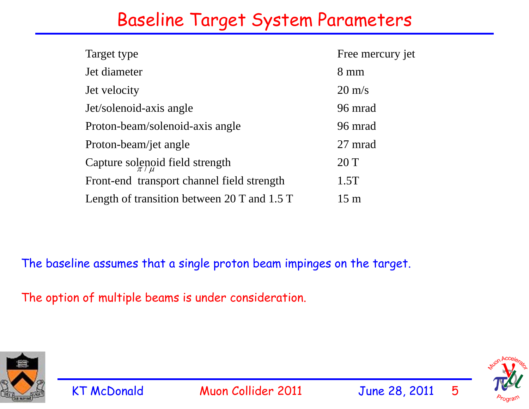#### Baseline Target System Parameters

| Target type                                   | Free mercury jet |
|-----------------------------------------------|------------------|
| Jet diameter                                  | $8 \text{ mm}$   |
| Jet velocity                                  | $20 \text{ m/s}$ |
| Jet/solenoid-axis angle                       | 96 mrad          |
| Proton-beam/solenoid-axis angle               | 96 mrad          |
| Proton-beam/jet angle                         | 27 mrad          |
| Capture solenoid field strength               | 20T              |
| Front-end transport channel field strength    | 1.5T             |
| Length of transition between 20 T and $1.5$ T | $15 \text{ m}$   |

The baseline assumes that a single proton beam impinges on the target.

The option of multiple beams is under consideration.



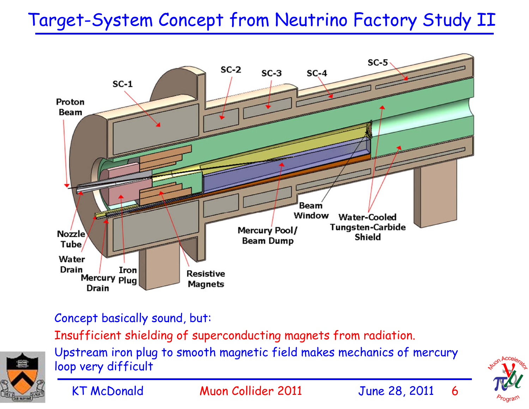# Target-System Concept from Neutrino Factory Study II



Concept basically sound, but:

Insufficient shielding of superconducting magnets from radiation.

Upstream iron plug to smooth magnetic field makes mechanics of mercury loop very difficult





KT McDonald Muon Collider 2011 June 28, 2011 6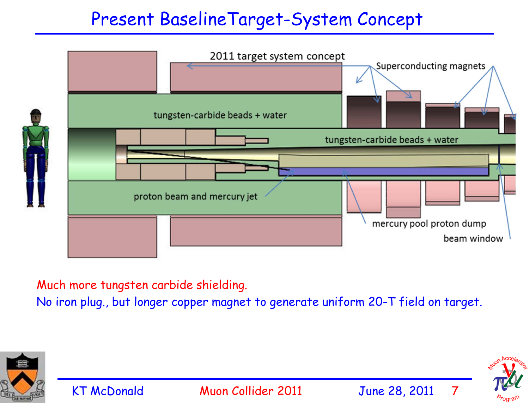#### Present BaselineTarget-System Concept



Much more tungsten carbide shielding.

No iron plug., but longer copper magnet to generate uniform 20-T field on target.



KT McDonald Muon Collider 2011 June 28, 2011

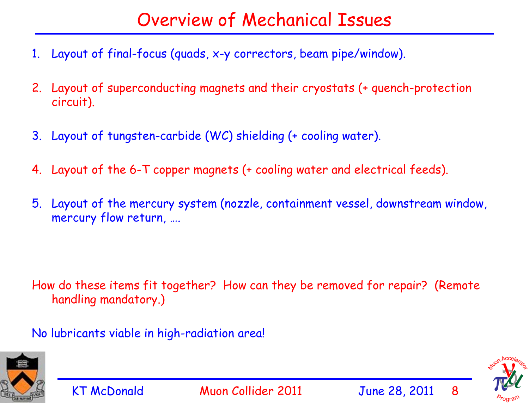### Overview of Mechanical Issues

- 1. Layout of final-focus (quads, x-y correctors, beam pipe/window).
- 2. Layout of superconducting magnets and their cryostats (+ quench-protection circuit).
- 3. Layout of tungsten-carbide (WC) shielding (+ cooling water).
- 4. Layout of the 6-T copper magnets (+ cooling water and electrical feeds).
- 5. Layout of the mercury system (nozzle, containment vessel, downstream window, mercury flow return, ….

How do these items fit together? How can they be removed for repair? (Remote handling mandatory.)

No lubricants viable in high-radiation area!



KT McDonald Muon Collider 2011 June 28, 2011 8

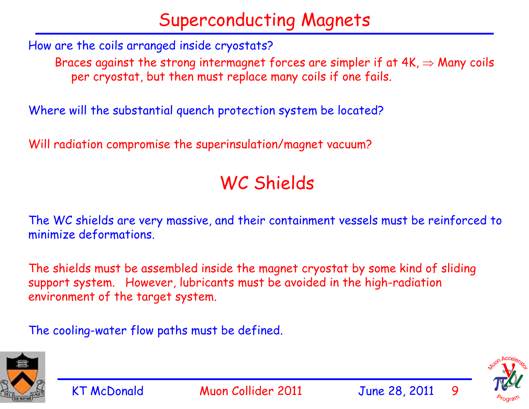# Superconducting Magnets

How are the coils arranged inside cryostats?

Braces against the strong intermagnet forces are simpler if at  $4K \Rightarrow$  Many coils per cryostat, but then must replace many coils if one fails.

Where will the substantial quench protection system be located?

Will radiation compromise the superinsulation/magnet vacuum?

#### WC Shields

The WC shields are very massive, and their containment vessels must be reinforced to minimize deformations.

The shields must be assembled inside the magnet cryostat by some kind of sliding support system. However, lubricants must be avoided in the high-radiation environment of the target system.

The cooling-water flow paths must be defined.



KT McDonald Muon Collider 2011 June 28, 2011 9

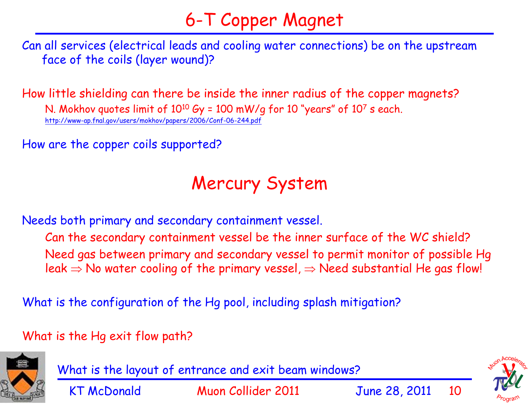# 6-T Copper Magnet

Can all services (electrical leads and cooling water connections) be on the upstream face of the coils (layer wound)?

How little shielding can there be inside the inner radius of the copper magnets? N. Mokhov quotes limit of  $10^{10}$  Gy = 100 mW/g for 10 "years" of  $10^{7}$  s each. http://www-ap.fnal.gov/users/mokhov/papers/2006/Conf-06-244.pdf

How are the copper coils supported?

#### Mercury System

Needs both primary and secondary containment vessel.

Can the secondary containment vessel be the inner surface of the WC shield? Need gas between primary and secondary vessel to permit monitor of possible Hg leak  $\Rightarrow$  No water cooling of the primary vessel,  $\Rightarrow$  Need substantial He gas flow!

What is the configuration of the Hg pool, including splash mitigation?

What is the Hg exit flow path?



What is the layout of entrance and exit beam windows?